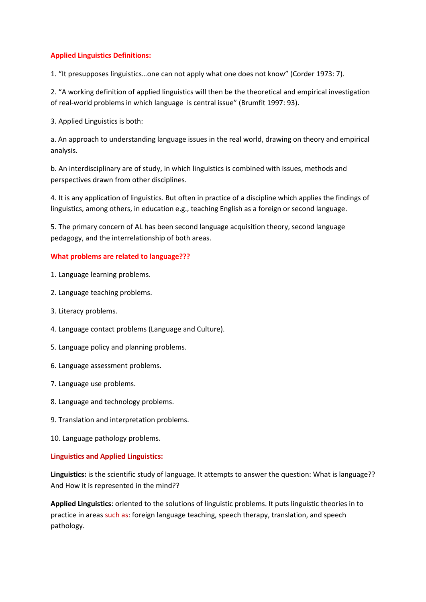# **Applied Linguistics Definitions:**

1. "It presupposes linguistics…one can not apply what one does not know" (Corder 1973: 7).

2. "A working definition of applied linguistics will then be the theoretical and empirical investigation of real-world problems in which language is central issue" (Brumfit 1997: 93).

3. Applied Linguistics is both:

a. An approach to understanding language issues in the real world, drawing on theory and empirical analysis.

b. An interdisciplinary are of study, in which linguistics is combined with issues, methods and perspectives drawn from other disciplines.

4. It is any application of linguistics. But often in practice of a discipline which applies the findings of linguistics, among others, in education e.g., teaching English as a foreign or second language.

5. The primary concern of AL has been second language acquisition theory, second language pedagogy, and the interrelationship of both areas.

# **What problems are related to language???**

- 1. Language learning problems.
- 2. Language teaching problems.
- 3. Literacy problems.
- 4. Language contact problems (Language and Culture).
- 5. Language policy and planning problems.
- 6. Language assessment problems.
- 7. Language use problems.
- 8. Language and technology problems.
- 9. Translation and interpretation problems.
- 10. Language pathology problems.

### **Linguistics and Applied Linguistics:**

**Linguistics:** is the scientific study of language. It attempts to answer the question: What is language?? And How it is represented in the mind??

**Applied Linguistics**: oriented to the solutions of linguistic problems. It puts linguistic theories in to practice in areas such as: foreign language teaching, speech therapy, translation, and speech pathology.